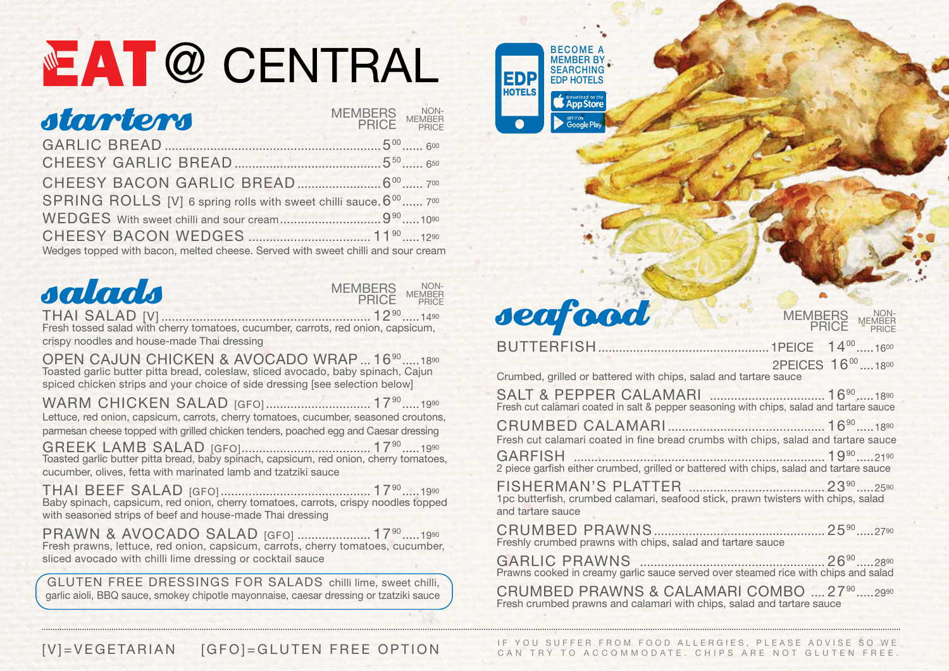## NE AT @ CENTRAL BECOME A

| starters                                                                         | MEMBERS NON-<br>PRICE MEMBER |  |
|----------------------------------------------------------------------------------|------------------------------|--|
|                                                                                  | $5^{00}$ $5^{00}$ $5^{00}$   |  |
|                                                                                  |                              |  |
|                                                                                  |                              |  |
| SPRING ROLLS [V] 6 spring rolls with sweet chilli sauce. 6 <sup>00</sup> 700     |                              |  |
|                                                                                  |                              |  |
|                                                                                  |                              |  |
| Wedges topped with bacon, melted cheese. Served with sweet chilli and sour cream |                              |  |



THAI SALAD [V] ............................................................ 1290 .....1490 Fresh tossed salad with cherry tomatoes, cucumber, carrots, red onion, capsicum, crispy noodles and house-made Thai dressing

OPEN CAJUN CHICKEN & AVOCADO WRAP ... 16<sup>90</sup> ......1890 Toasted garlic butter pitta bread, coleslaw, sliced avocado, baby spinach, Cajun spiced chicken strips and your choice of side dressing [see selection below]

WARM CHICKEN SALAD [GFO] .................................. 17<sup>90</sup> ......1990 Lettuce, red onion, capsicum, carrots, cherry tomatoes, cucumber, seasoned croutons, parmesan cheese topped with grilled chicken tenders, poached egg and Caesar dressing

GREEK LAMB SALAD [GFO]..................................... 1790 .....1990 Toasted garlic butter pitta bread, baby spinach, capsicum, red onion, cherry tomatoes, cucumber, olives, fetta with marinated lamb and tzatziki sauce

THAI BEEF SALAD [GFO] ........................................... 1790 .....1990 Baby spinach, capsicum, red onion, cherry tomatoes, carrots, crispy noodles topped with seasoned strips of beef and house-made Thai dressing

PRAWN & AVOCADO SALAD [GFO] ...................... 17<sup>90</sup> ..... 1990 Fresh prawns, lettuce, red onion, capsicum, carrots, cherry tomatoes, cucumber, sliced avocado with chilli lime dressing or cocktail sauce

 GLUTEN FREE DRESSINGS FOR SALADS chilli lime, sweet chilli, garlic aioli, BBQ sauce, smokey chipotle mayonnaise, caesar dressing or tzatziki sauce



### seafood

BUTTERFISH.................................................1PEICE 1400 .....1600 2PEICES 16<sup>00</sup> 1800 Crumbed, grilled or battered with chips, salad and tartare sauce SALT & PEPPER CALAMARI ................................. 1690 .....1890 Fresh cut calamari coated in salt & pepper seasoning with chips, salad and tartare sauce CRUMBED CALAMARI ............................................. 1690 .....1890 Fresh cut calamari coated in fine bread crumbs with chips, salad and tartare sauce GARFISH ........................................................................ 1990 .....2190 2 piece garfish either crumbed, grilled or battered with chips, salad and tartare sauce FISHERMAN'S PLATTER ....................................... 2390 .....2590 1pc butterfish, crumbed calamari, seafood stick, prawn twisters with chips, salad and tartare sauce CRUMBED PRAWNS................................................. 2590 .....2790 Freshly crumbed prawns with chips, salad and tartare sauce GARLIC PRAWNS ..................................................... 2690 .....2890 Prawns cooked in creamy garlic sauce served over steamed rice with chips and salad

**MEMBERS** PRICE

NON-MEMBER PRICE

CRUMBED PRAWNS & CALAMARI COMBO .... 27<sup>90</sup> ..... 2990 Fresh crumbed prawns and calamari with chips, salad and tartare sauce

CAN TRY TO ACCOMMODATE. CHIPS ARE NOT GLUTEN FREE. GENERAL CHIPS ARE NOT GLUTEN FREE.

M FOOD ALLERGIES, PLEASE